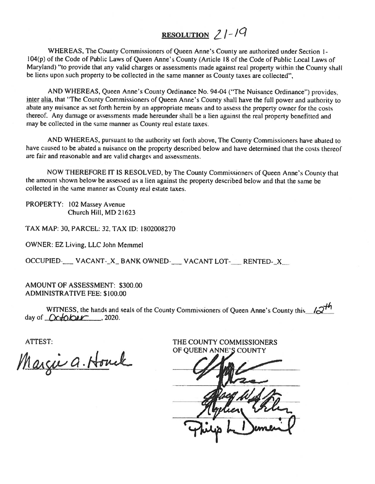# RESOLUTION  $21-19$

WHEREAS, The County Commissioners of Queen Anne's County are authorized under Section 1-<br>104(p) of the Code of Public Laws of Queen Anne's County (Article 18 of the Code of Public Local Laws of Maryland) "to provide that any valid charges or assessments made against real property within the County shall be liens upon such property to be collected in the same manner as County taxes are collected",

AND WHEREAS, Queen Anne's County Ordinance No. 94-04 ("The Nuisance Ordinance") provides, inter alia, that "The County Commissioners of Queen Anne's County shall have the full power and authority to abate any nuisance as set forth herein by an appropriate means and to assess the property owner for the costs thereof. Any damage or assessments made hereunder shall be a lien against the real property benefitted and may be collected in the same manner as County real estate taxes.

AND WHEREAS, pursuan<sup>t</sup> to the authority set forth above, The County Commissioners have abated to have caused to be abated <sup>a</sup> nuisance on the property described below and have determined that the costs thereof are fair and reasonable and are valid charges and assessments.

NOW THEREFORE IT IS RESOLVED, by The County Commissioners of Queen Anne's County that the amount shown below be assessed as <sup>a</sup> lien against the property described below and that the same be collected in the same manner as County real estate taxes.

PROPERTY: 102 Massey Avenue Church Hill, MD 21623

TAX MAP: 30, PARCEL: 32, TAX ID: 1802008270

OWNER: EZ Living, LLC John Memmel

OCCUPIED-\_\_\_ VACANT-\_X\_ BANK OWNED-\_\_\_ VACANT LOT-\_\_\_ RENTED-\_X\_\_

AMOUNT OF ASSESSMENT: \$300.00 ADMINISTRATIVE FEE: \$100.00

WITNESS, the hands and seals of the County Commissioners of Queen Anne's County this  $\sqrt{2^{14}}$ day of  $Ochber$ , 2020.

Margie a. Houck

ATTEST: THE COUNTY COMMISSIONERS OF OUEEN ANNE'S COUNTY

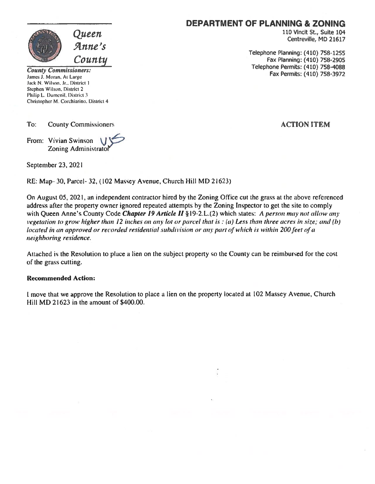

Jamesi. Moran. At Large Fax Permits: (410) 758-3972 Jack N. Wilson, Jr.. District I Stephen Wilson. District 2 Philip L. Dumenil, District 3 Christopher M. Corchiarino. District 4

To: County Commissioners **ACTION ITEM** 

From: Vivian Swinson Zoning Administrator

September 23, 2021

RE: Map- 30, Parcel- 32, (102 Massey Avenue, Church Hill MD 21623)

On August 05, 2021, an independent contractor hired by the Zoning Office cut the grass at the above referenced address after the property owner ignored repeated attempts by the Zoning Inspector to ge<sup>t</sup> the site to comply with Queen Anne's County Code Chapter 19 Article II § 19-2. L.(2) which states: A person may not allow any vegetation to grow higher than 12 inches on any lot or parcel that is  $:(a)$  Less than three acres in size; and (b) located in an approved or recorded residential subdivision or any part of which is within 200 feet of a neighboring residence.

Attached is the Resolution to place <sup>a</sup> lien on the subject property so the County can be reimbursed for the cost of the grass cutting.

#### Recommended Action:

I move that we approve the Resolution to place <sup>a</sup> lien on the property located at 102 Massey Avenue, Church Hill MD 21623 in the amount of \$400.00.

### DEPARTMENT OF PLANNING & ZONING

 $Queuen$  and the contract of the contract of the contract of the contract of the contract of the contract of the contract of the contract of  $\alpha$  Centreville, MD 21617

Telephone Planning: (410) 758-1255 County<br>
County County Commissioners:<br>
Telephone Permits: (410) 758-4088<br>
Telephone Permits: (410) 758-4088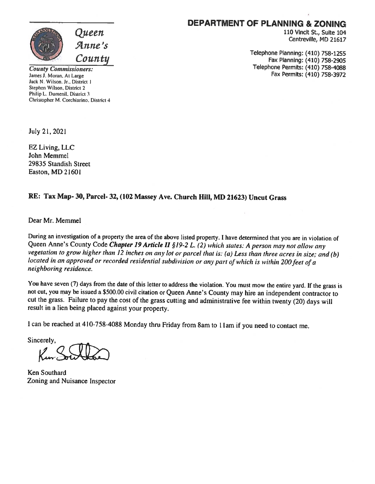

## DEPARTMENT OF PLANNING & ZONING

Queen 110 Vincit St., Suite 104<br>
Anne's Centreville, MD 21617

 $\emph{Countu} \hspace{25pt}$  Telephone Planning: (410) 758-1255 Fax Planning: (410) 758-2905 County Commissioners: Telephone Permits: (410) 758-4088<br>
James J. Moran, At Large Fax Permits: (410) 758-3972

Jack N. Wilson. Jr., District 1 Stephen Wilson, District 2 Philip L. Dumenil, District 3 Christopher M. Corchiarino. District 4

July 21, 2021

EZ Living, LLC John Memmel 29835 Standish Street Easton, MD 21601

#### RE: Tax Map- 30, Parcel- 32, (102 Massey Ave. Church Hill, MD 21623) Uncut Grass

Dear Mr. Memmel

During an investigation of a property the area of the above listed property. I have determined that you are in violation of Queen Anne's County Code *Chapter 19 Article II* §19-2 L. (2) which states: A person may not allow vegetation to grow higher than 12 inches on any lot or parcel that is: (a) Less than three acres in size; and (b)<br>located in an approved or recorded residential subdivision or any part of which is within 200 feet of a neighboring residence.

You have seven (7) days from the date of this letter to address the violation. You must mow the entire yard. If the grass is not cut, you may be issued a \$500.00 civil citation or Queen Anne's County may hire an independent contractor to cut the grass. Failure to pay the cost of the grass Cutting and administrative fee within twenty (20) days will result in <sup>a</sup> lien being <sup>p</sup>laced against your property.

<sup>I</sup> can be reached at 410-758-4088 Monday thru Friday from 8am to 11am if you need to contact me.

Sincerely,

Ken Southard Zoning and Nuisance Inspector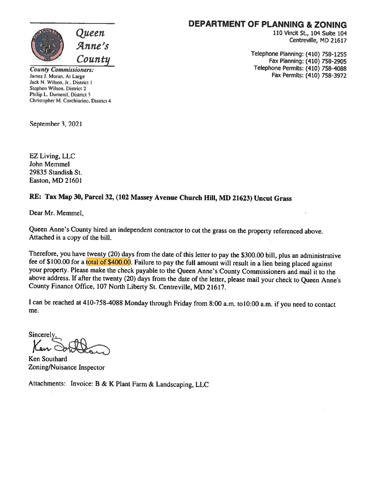

DEPARTMENT OF PLANNING & ZONING

110 Vincit St., 104 Suite 104 Centreville, MD 21617

Telephone Planning: (410) 758-1255  $Countity$  Fax Planning: (410) 758-2905 County Commissioners: Telephone Permits: (410) 758-4088<br>
James J. Moran. At Large Fax Permits: (410) 758-3972 Fax Permits: (410) 758-3972

Jack N. Wilson, Jr.. District I Stephen Wilson. District 2 Philip L. Dumenil, District 3 Christopher M. Corchiarino, District 4

September 3, 2021

EZ Living, LLC John Memmel 29835 Standish St. Easton, MD 21601

## RE: Tax Map 30, Parcel 32, (102 Massey Avenue Church Hill, MD 21623) Uncut Grass

Dear Mr. Memmel,

Queen Anne's County hired an independent contractor to cut the grass on the property referenced above. Attached is <sup>a</sup> copy of the bill.

Therefore, you have twenty (20) days from the date of this letter to pay the \$300.00 bill, plus an administrative fee of \$100.00 for a total of \$400.00. Failure to pay the full amount will result in a lien being placed against your property. Please make the check payable to the Queen Anne's County Commissioners and mail it to the above address. If after the twenty (20) days from the date of the letter, <sup>p</sup>lease mail your check to Queen Anne's County Finance Office, <sup>107</sup> North Liberty St. Centreville, MD 21617.

<sup>I</sup> can be reached at 410-758-4088 Monday through Friday from 8:00 a.m. toIO:00 a.m. if you need to contact me.

Sincerel

Ken Southard Zoning/Nuisance Inspector

Attachments: Invoice: <sup>B</sup> & <sup>K</sup> Plant Farm & Landscaping, LLC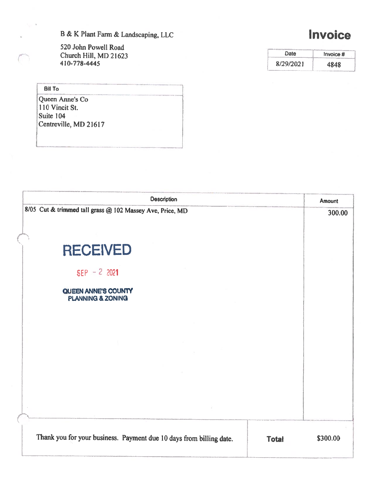B & K Plant Farm & Landscaping, LLC **Invoice** 

520 John Powell Road Church Hill, MD 21623 410-778-4445

| Date      | Invoice # |  |
|-----------|-----------|--|
| 8/29/2021 | 4848      |  |

**Bill To** Queen Anne's Co 110 Vincit St. Suite 104 Centreville, MD 21617

| <b>Description</b>                                                  |              | Amount<br>300.00 |
|---------------------------------------------------------------------|--------------|------------------|
| 8/05 Cut & trimmed tall grass @ 102 Massey Ave, Price, MD           |              |                  |
| <b>RECEIVED</b>                                                     |              |                  |
| $SEP - 22021$                                                       |              |                  |
| QUEEN ANNE'S COUNTY<br><b>PLANNING &amp; ZONING</b>                 |              |                  |
|                                                                     |              |                  |
|                                                                     |              |                  |
|                                                                     |              |                  |
|                                                                     |              |                  |
| Thank you for your business. Payment due 10 days from billing date. | <b>Total</b> | \$300.00         |